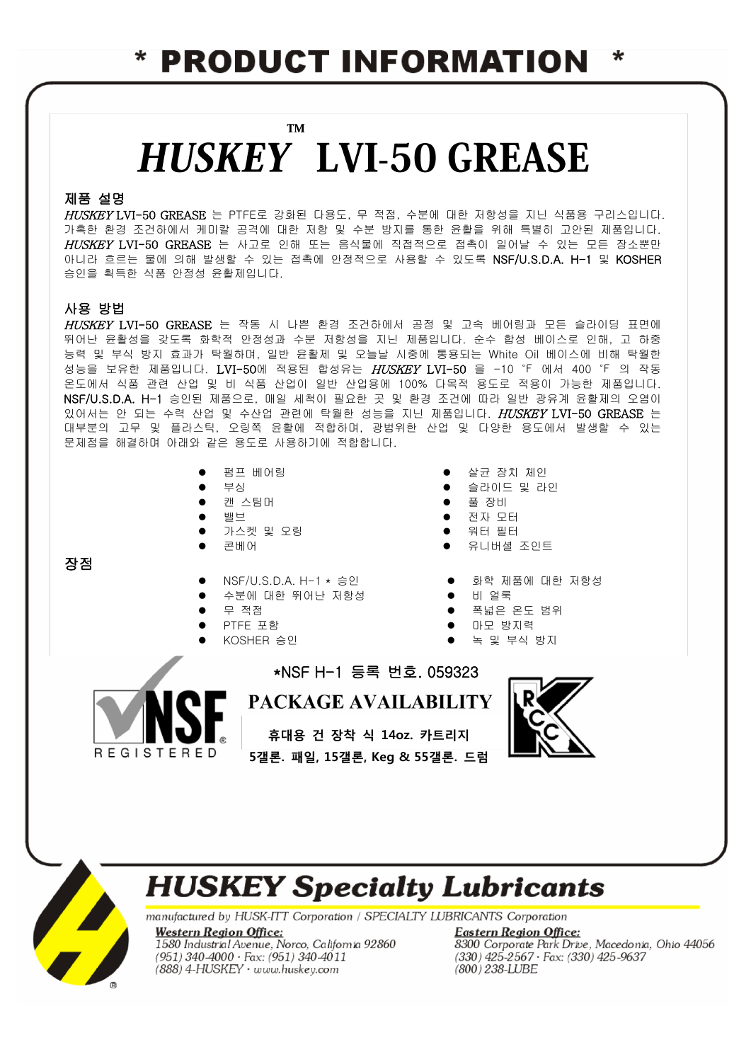### **PRODUCT INFORMATION** ∗

### **TM HUSKEY LVI-50 GREASE**

#### 제품 설명

HUSKEY LVI-50 GREASE 는 PTFE로 강화된 다용도, 무 적점, 수분에 대한 저항성을 지닌 식품용 구리스입니다. 가혹한 환경 조건하에서 케미칼 공격에 대한 저항 및 수분 방지를 통한 윤활을 위해 특별히 고안된 제품입니다. HUSKEY LVI-50 GREASE 는 사고로 인해 또는 음식물에 직접적으로 접촉이 일어날 수 있는 모든 장소뿐만 아니라 흐르는 물에 의해 발생할 수 있는 접촉에 안정적으로 사용할 수 있도록 NSF/U.S.D.A. H-1 및 KOSHER 승인을 획득한 식품 안정성 윤활제입니다.

#### 사용 방법

장점

HUSKEY LVI-50 GREASE 는 작동 시 나쁜 환경 조건하에서 공정 및 고속 베어링과 모든 슬라이딩 표면에 뛰어난 윤활성을 갖도록 화학적 안정성과 수분 저항성을 지닌 제품입니다. 순수 합성 베이스로 인해, 고 하중 능력 및 부식 방지 효과가 탁월하며, 일반 윤활제 및 오늘날 시중에 통용되는 White Oil 베이스에 비해 탁월한 성능을 보유한 제품입니다. LVI-50에 적용된 합성유는 HUSKEY LVI-50 을 -10 °F 에서 400 °F 의 작동 온도에서 식품 관련 산업 및 비 식품 산업이 일반 산업용에 100% 다목적 용도로 적용이 가능한 제품입니다. NSF/U.S.D.A. H-1 승인된 제품으로, 매일 세척이 필요한 곳 및 환경 조건에 따라 일반 광유계 윤활제의 오염이 있어서는 안 되는 수력 산업 및 수산업 관련에 탁월한 성능을 지닌 제품입니다. HUSKEY LVI-50 GREASE 는 대부분의 고무 및 플라스틱, 오링쪽 윤활에 적합하며, 광범위한 산업 및 다양한 용도에서 발생할 수 있는 문제점을 해결하며 아래와 같은 용도로 사용하기에 적합합니다.

- 
- 
- 
- 
- 가스켓 및 오링 2000 2000 2000 이 워터 필터
- 
- 
- 수분에 대한 뛰어난 저항성 비 얼룩
- 
- 
- 
- 펌프 베어링 オオラ イング イング エコ エコ きょう 合え 장치 체인
- 부싱 청구 2000 2000 2000 2000 2010 2010 2010 2010 2010 2010 2010 2010 2010 2010 2010
- 캔 스팀머 기대 그러나 그러나 그러나 그러나 그러나 그러나 그러나 그러나 그러나 그러나 그러나 그러나 그러나 그러나 그러나 그러나 그러나
- 밸브 전자 모터
	-
- 콘베어 주니버셜 조인트
- NSF/U.S.D.A. H-1 \* 승인 화학 제품에 대한 저항성
	-
- 무 적점 폭넓은 온도 범위
- PTFE 포함 마모 방지력
	- KOSHER 승인 녹 및 부식 방지



PACKAGE AVAILABILITY

\*NSF H-1 등록 번호. 059323

휴대용 건 장착 식 14oz. 카트리지 5갤론. 패일, 15갤론, Keg & 55갤론. 드럼



## **HUSKEY Specialty Lubricants**

manufactured by HUSK-ITT Corporation / SPECIALTY LUBRICANTS Corporation

**Western Region Office:** 1580 Industrial Avenue, Norco, California 92860 (951) 340-4000 · Fax: (951) 340-4011 (888) 4-HUSKEY · www.huskey.com

**Eastern Region Office:** 8300 Corporate Park Drive, Macedonia, Ohio 44056  $(330)$  425-2567 · Fax:  $(330)$  425-9637 (800) 238-LUBE